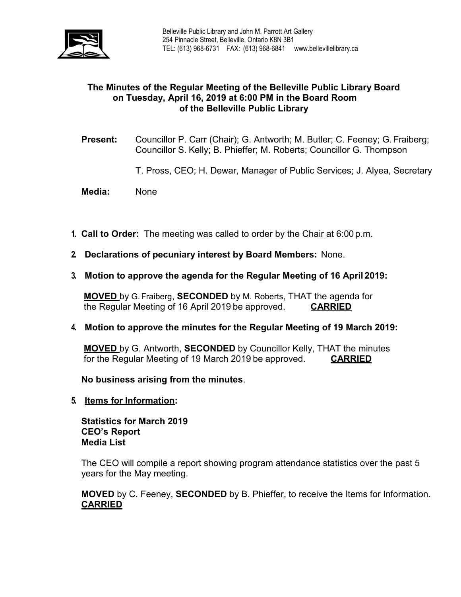

# **The Minutes of the Regular Meeting of the Belleville Public Library Board on Tuesday, April 16, 2019 at 6:00 PM in the Board Room of the Belleville Public Library**

- **Present:** Councillor P. Carr (Chair); G. Antworth; M. Butler; C. Feeney; G.Fraiberg; Councillor S. Kelly; B. Phieffer; M. Roberts; Councillor G. Thompson
	- T. Pross, CEO; H. Dewar, Manager of Public Services; J. Alyea, Secretary
- **Media:** None
- **1. Call to Order:** The meeting was called to order by the Chair at 6:00 p.m.
- **2. Declarations of pecuniary interest by Board Members:** None.
- **3. Motion to approve the agenda for the Regular Meeting of 16 April 2019:**

**MOVED** by G.Fraiberg, **SECONDED** by M. Roberts, THAT the agenda for the Regular Meeting of 16 April 2019 be approved. **CARRIED**

**4. Motion to approve the minutes for the Regular Meeting of 19 March 2019:**

**MOVED** by G. Antworth, **SECONDED** by Councillor Kelly, THAT the minutes for the Regular Meeting of 19 March 2019 be approved. **CARRIED**

**No business arising from the minutes**.

**5. Items for Information:**

**Statistics for March 2019 CEO's Report Media List**

The CEO will compile a report showing program attendance statistics over the past 5 years for the May meeting.

**MOVED** by C. Feeney, **SECONDED** by B. Phieffer, to receive the Items for Information. **CARRIED**